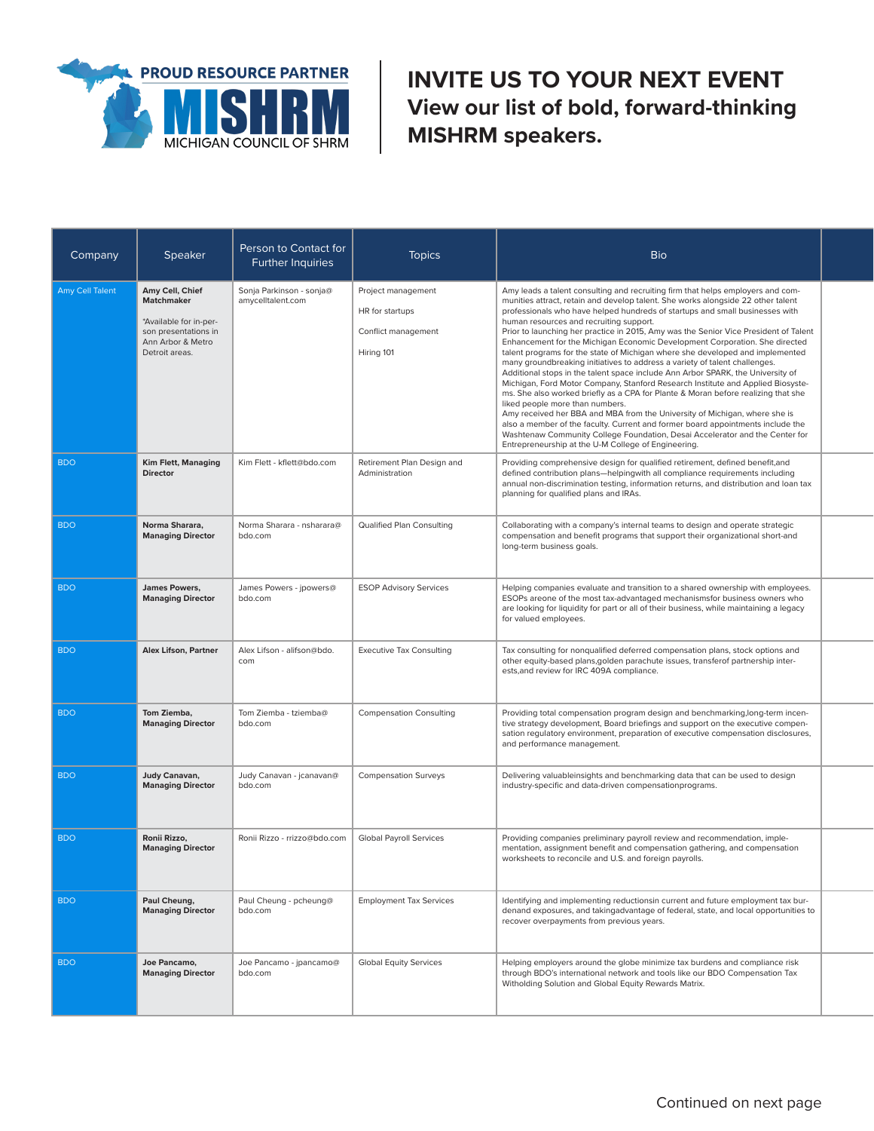

**INVITE US TO YOUR NEXT EVENT View our list of bold, forward-thinking MISHRM speakers.**

| Company         | <b>Speaker</b>                                                                                                                | Person to Contact for<br><b>Further Inquiries</b> | <b>Topics</b>                                                              | <b>Bio</b>                                                                                                                                                                                                                                                                                                                                                                                                                                                                                                                                                                                                                                                                                                                                                                                                                                                                                                                                                                                                                                                                                                                                                                                                                                 |  |
|-----------------|-------------------------------------------------------------------------------------------------------------------------------|---------------------------------------------------|----------------------------------------------------------------------------|--------------------------------------------------------------------------------------------------------------------------------------------------------------------------------------------------------------------------------------------------------------------------------------------------------------------------------------------------------------------------------------------------------------------------------------------------------------------------------------------------------------------------------------------------------------------------------------------------------------------------------------------------------------------------------------------------------------------------------------------------------------------------------------------------------------------------------------------------------------------------------------------------------------------------------------------------------------------------------------------------------------------------------------------------------------------------------------------------------------------------------------------------------------------------------------------------------------------------------------------|--|
| Amy Cell Talent | Amy Cell, Chief<br><b>Matchmaker</b><br>*Available for in-per-<br>son presentations in<br>Ann Arbor & Metro<br>Detroit areas. | Sonja Parkinson - sonja@<br>amycelltalent.com     | Project management<br>HR for startups<br>Conflict management<br>Hiring 101 | Amy leads a talent consulting and recruiting firm that helps employers and com-<br>munities attract, retain and develop talent. She works alongside 22 other talent<br>professionals who have helped hundreds of startups and small businesses with<br>human resources and recruiting support.<br>Prior to launching her practice in 2015, Amy was the Senior Vice President of Talent<br>Enhancement for the Michigan Economic Development Corporation. She directed<br>talent programs for the state of Michigan where she developed and implemented<br>many groundbreaking initiatives to address a variety of talent challenges.<br>Additional stops in the talent space include Ann Arbor SPARK, the University of<br>Michigan, Ford Motor Company, Stanford Research Institute and Applied Biosyste-<br>ms. She also worked briefly as a CPA for Plante & Moran before realizing that she<br>liked people more than numbers.<br>Amy received her BBA and MBA from the University of Michigan, where she is<br>also a member of the faculty. Current and former board appointments include the<br>Washtenaw Community College Foundation, Desai Accelerator and the Center for<br>Entrepreneurship at the U-M College of Engineering. |  |
| <b>BDO</b>      | Kim Flett, Managing<br><b>Director</b>                                                                                        | Kim Flett - kflett@bdo.com                        | Retirement Plan Design and<br>Administration                               | Providing comprehensive design for qualified retirement, defined benefit, and<br>defined contribution plans-helpingwith all compliance requirements including<br>annual non-discrimination testing, information returns, and distribution and loan tax<br>planning for qualified plans and IRAs.                                                                                                                                                                                                                                                                                                                                                                                                                                                                                                                                                                                                                                                                                                                                                                                                                                                                                                                                           |  |
| <b>BDO</b>      | Norma Sharara,<br><b>Managing Director</b>                                                                                    | Norma Sharara - nsharara@<br>bdo.com              | Qualified Plan Consulting                                                  | Collaborating with a company's internal teams to design and operate strategic<br>compensation and benefit programs that support their organizational short-and<br>long-term business goals.                                                                                                                                                                                                                                                                                                                                                                                                                                                                                                                                                                                                                                                                                                                                                                                                                                                                                                                                                                                                                                                |  |
| <b>BDO</b>      | James Powers,<br><b>Managing Director</b>                                                                                     | James Powers - jpowers@<br>bdo.com                | <b>ESOP Advisory Services</b>                                              | Helping companies evaluate and transition to a shared ownership with employees.<br>ESOPs areone of the most tax-advantaged mechanismsfor business owners who<br>are looking for liquidity for part or all of their business, while maintaining a legacy<br>for valued employees.                                                                                                                                                                                                                                                                                                                                                                                                                                                                                                                                                                                                                                                                                                                                                                                                                                                                                                                                                           |  |
| <b>BDO</b>      | <b>Alex Lifson, Partner</b>                                                                                                   | Alex Lifson - alifson@bdo.<br>com                 | <b>Executive Tax Consulting</b>                                            | Tax consulting for nonqualified deferred compensation plans, stock options and<br>other equity-based plans, golden parachute issues, transferof partnership inter-<br>ests, and review for IRC 409A compliance.                                                                                                                                                                                                                                                                                                                                                                                                                                                                                                                                                                                                                                                                                                                                                                                                                                                                                                                                                                                                                            |  |
| <b>BDO</b>      | Tom Ziemba,<br><b>Managing Director</b>                                                                                       | Tom Ziemba - tziemba@<br>bdo.com                  | <b>Compensation Consulting</b>                                             | Providing total compensation program design and benchmarking, long-term incen-<br>tive strategy development, Board briefings and support on the executive compen-<br>sation regulatory environment, preparation of executive compensation disclosures,<br>and performance management.                                                                                                                                                                                                                                                                                                                                                                                                                                                                                                                                                                                                                                                                                                                                                                                                                                                                                                                                                      |  |
| <b>BDO</b>      | Judy Canavan,<br><b>Managing Director</b>                                                                                     | Judy Canavan - jcanavan@<br>bdo.com               | <b>Compensation Surveys</b>                                                | Delivering valuableinsights and benchmarking data that can be used to design<br>industry-specific and data-driven compensationprograms.                                                                                                                                                                                                                                                                                                                                                                                                                                                                                                                                                                                                                                                                                                                                                                                                                                                                                                                                                                                                                                                                                                    |  |
| <b>BDO</b>      | Ronii Rizzo,<br><b>Managing Director</b>                                                                                      | Ronii Rizzo - rrizzo@bdo.com                      | <b>Global Payroll Services</b>                                             | Providing companies preliminary payroll review and recommendation, imple-<br>mentation, assignment benefit and compensation gathering, and compensation<br>worksheets to reconcile and U.S. and foreign payrolls.                                                                                                                                                                                                                                                                                                                                                                                                                                                                                                                                                                                                                                                                                                                                                                                                                                                                                                                                                                                                                          |  |
| <b>BDO</b>      | Paul Cheung,<br><b>Managing Director</b>                                                                                      | Paul Cheung - pcheung@<br>bdo.com                 | <b>Employment Tax Services</b>                                             | Identifying and implementing reductionsin current and future employment tax bur-<br>denand exposures, and takingadvantage of federal, state, and local opportunities to<br>recover overpayments from previous years.                                                                                                                                                                                                                                                                                                                                                                                                                                                                                                                                                                                                                                                                                                                                                                                                                                                                                                                                                                                                                       |  |
| <b>BDO</b>      | Joe Pancamo,<br><b>Managing Director</b>                                                                                      | Joe Pancamo - jpancamo@<br>bdo.com                | <b>Global Equity Services</b>                                              | Helping employers around the globe minimize tax burdens and compliance risk<br>through BDO's international network and tools like our BDO Compensation Tax<br>Witholding Solution and Global Equity Rewards Matrix.                                                                                                                                                                                                                                                                                                                                                                                                                                                                                                                                                                                                                                                                                                                                                                                                                                                                                                                                                                                                                        |  |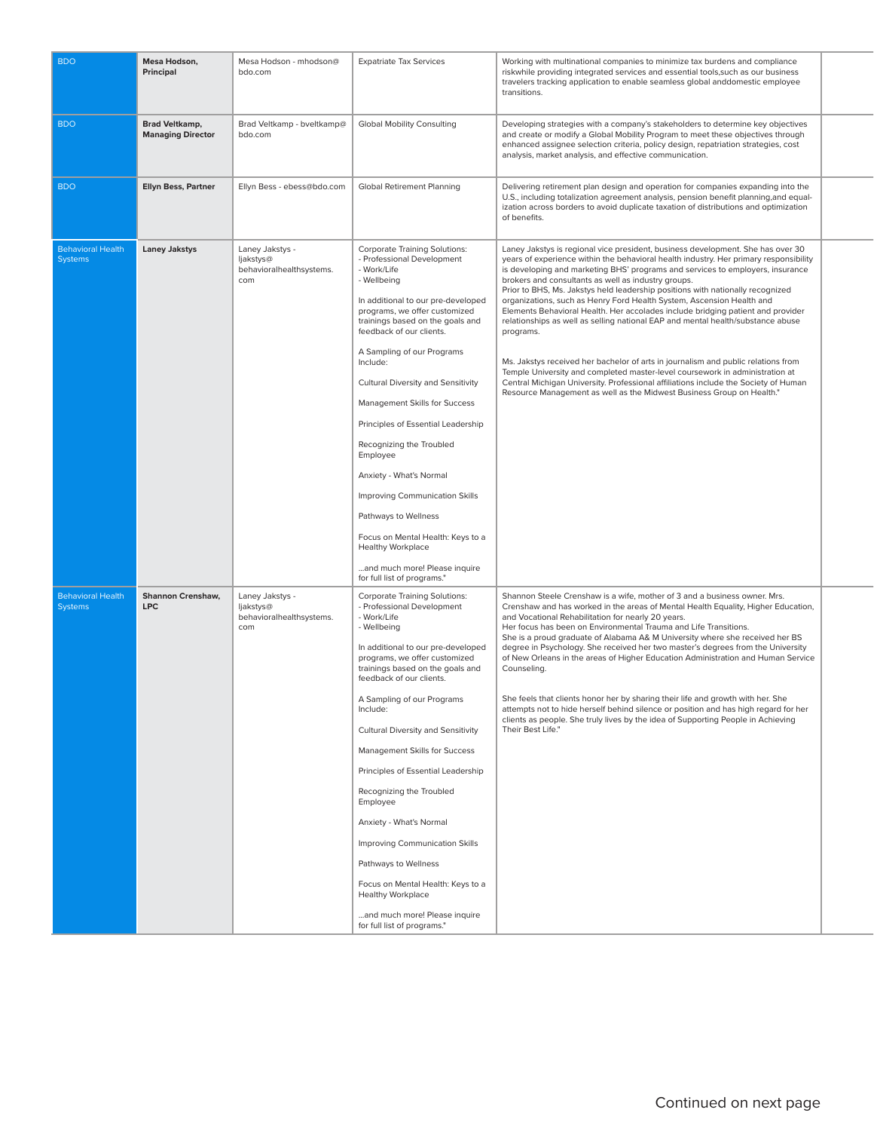| <b>BDO</b>                                 | Mesa Hodson,<br>Principal                         | Mesa Hodson - mhodson@<br>bdo.com                               | <b>Expatriate Tax Services</b>                                                                                                                                                                                                                                                                                                                                                                                                                                                                                                                                                                                                                               | Working with multinational companies to minimize tax burdens and compliance<br>riskwhile providing integrated services and essential tools, such as our business<br>travelers tracking application to enable seamless global anddomestic employee<br>transitions.                                                                                                                                                                                                                                                                                                                                                                                                                                                                                                                                                                                                                                                                                                                                    |  |
|--------------------------------------------|---------------------------------------------------|-----------------------------------------------------------------|--------------------------------------------------------------------------------------------------------------------------------------------------------------------------------------------------------------------------------------------------------------------------------------------------------------------------------------------------------------------------------------------------------------------------------------------------------------------------------------------------------------------------------------------------------------------------------------------------------------------------------------------------------------|------------------------------------------------------------------------------------------------------------------------------------------------------------------------------------------------------------------------------------------------------------------------------------------------------------------------------------------------------------------------------------------------------------------------------------------------------------------------------------------------------------------------------------------------------------------------------------------------------------------------------------------------------------------------------------------------------------------------------------------------------------------------------------------------------------------------------------------------------------------------------------------------------------------------------------------------------------------------------------------------------|--|
| <b>BDO</b>                                 | <b>Brad Veltkamp,</b><br><b>Managing Director</b> | Brad Veltkamp - bveltkamp@<br>bdo.com                           | <b>Global Mobility Consulting</b>                                                                                                                                                                                                                                                                                                                                                                                                                                                                                                                                                                                                                            | Developing strategies with a company's stakeholders to determine key objectives<br>and create or modify a Global Mobility Program to meet these objectives through<br>enhanced assignee selection criteria, policy design, repatriation strategies, cost<br>analysis, market analysis, and effective communication.                                                                                                                                                                                                                                                                                                                                                                                                                                                                                                                                                                                                                                                                                  |  |
| <b>BDO</b>                                 | <b>Ellyn Bess, Partner</b>                        | Ellyn Bess - ebess@bdo.com                                      | <b>Global Retirement Planning</b>                                                                                                                                                                                                                                                                                                                                                                                                                                                                                                                                                                                                                            | Delivering retirement plan design and operation for companies expanding into the<br>U.S., including totalization agreement analysis, pension benefit planning, and equal-<br>ization across borders to avoid duplicate taxation of distributions and optimization<br>of benefits.                                                                                                                                                                                                                                                                                                                                                                                                                                                                                                                                                                                                                                                                                                                    |  |
| <b>Behavioral Health</b><br><b>Systems</b> | <b>Laney Jakstys</b>                              | Laney Jakstys -<br>ljakstys@<br>behavioralhealthsystems.<br>com | <b>Corporate Training Solutions:</b><br>- Professional Development<br>- Work/Life<br>- Wellbeing<br>In additional to our pre-developed<br>programs, we offer customized<br>trainings based on the goals and<br>feedback of our clients.<br>A Sampling of our Programs<br>Include:<br>Cultural Diversity and Sensitivity<br>Management Skills for Success<br>Principles of Essential Leadership<br>Recognizing the Troubled<br>Employee<br>Anxiety - What's Normal<br>Improving Communication Skills<br>Pathways to Wellness<br>Focus on Mental Health: Keys to a<br><b>Healthy Workplace</b><br>and much more! Please inquire<br>for full list of programs." | Laney Jakstys is regional vice president, business development. She has over 30<br>years of experience within the behavioral health industry. Her primary responsibility<br>is developing and marketing BHS' programs and services to employers, insurance<br>brokers and consultants as well as industry groups.<br>Prior to BHS, Ms. Jakstys held leadership positions with nationally recognized<br>organizations, such as Henry Ford Health System, Ascension Health and<br>Elements Behavioral Health. Her accolades include bridging patient and provider<br>relationships as well as selling national EAP and mental health/substance abuse<br>programs.<br>Ms. Jakstys received her bachelor of arts in journalism and public relations from<br>Temple University and completed master-level coursework in administration at<br>Central Michigan University. Professional affiliations include the Society of Human<br>Resource Management as well as the Midwest Business Group on Health." |  |
| <b>Behavioral Health</b><br><b>Systems</b> | <b>Shannon Crenshaw,</b><br><b>LPC</b>            | Laney Jakstys -<br>ljakstys@<br>behavioralhealthsystems.<br>com | <b>Corporate Training Solutions:</b><br>- Professional Development<br>- Work/Life<br>- Wellbeing<br>In additional to our pre-developed<br>programs, we offer customized<br>trainings based on the goals and<br>feedback of our clients.<br>A Sampling of our Programs<br>Include:<br>Cultural Diversity and Sensitivity<br>Management Skills for Success<br>Principles of Essential Leadership<br>Recognizing the Troubled<br>Employee<br>Anxiety - What's Normal<br>Improving Communication Skills<br>Pathways to Wellness<br>Focus on Mental Health: Keys to a<br><b>Healthy Workplace</b><br>and much more! Please inquire<br>for full list of programs." | Shannon Steele Crenshaw is a wife, mother of 3 and a business owner. Mrs.<br>Crenshaw and has worked in the areas of Mental Health Equality, Higher Education,<br>and Vocational Rehabilitation for nearly 20 years.<br>Her focus has been on Environmental Trauma and Life Transitions.<br>She is a proud graduate of Alabama A& M University where she received her BS<br>degree in Psychology. She received her two master's degrees from the University<br>of New Orleans in the areas of Higher Education Administration and Human Service<br>Counseling.<br>She feels that clients honor her by sharing their life and growth with her. She<br>attempts not to hide herself behind silence or position and has high regard for her<br>clients as people. She truly lives by the idea of Supporting People in Achieving<br>Their Best Life."                                                                                                                                                    |  |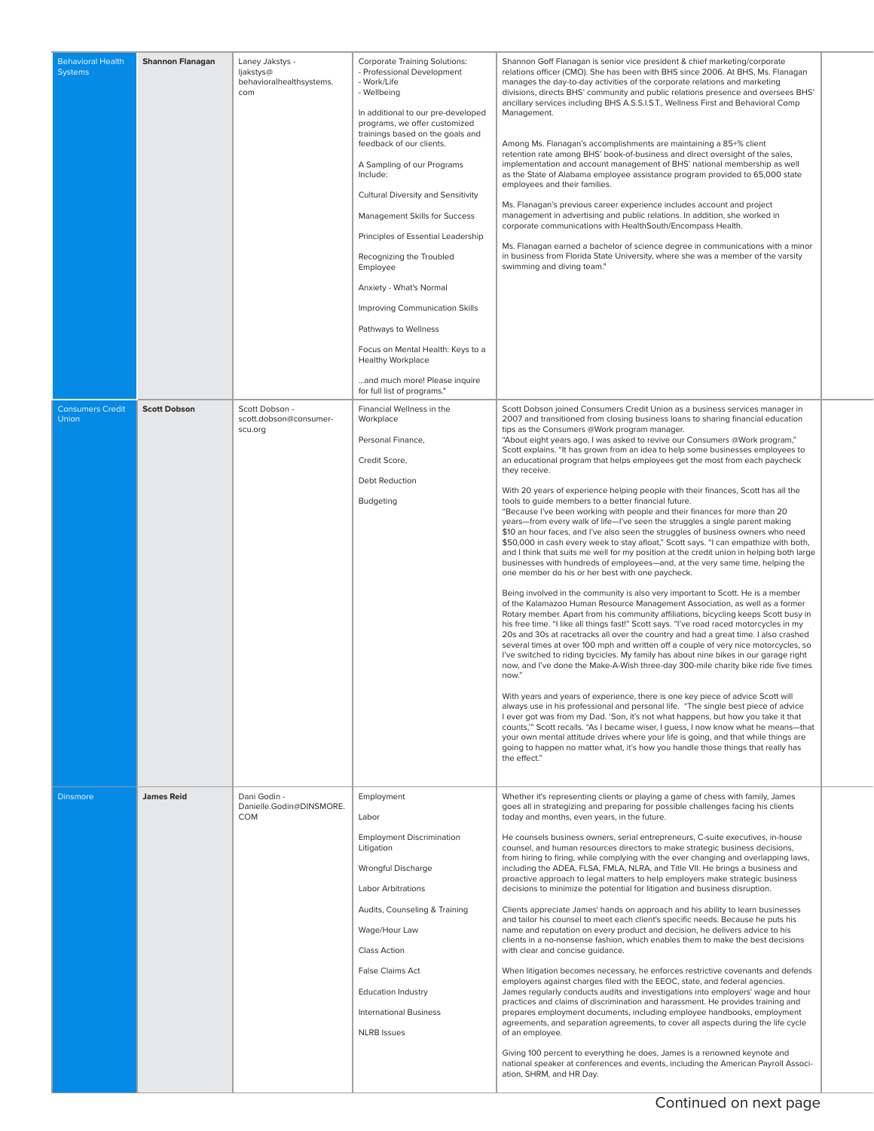| <b>Behavioral Health</b><br><b>Systems</b> | <b>Shannon Flanagan</b> | Laney Jakstys -<br>ljakstys@<br>behavioralhealthsystems.<br>com | <b>Corporate Training Solutions:</b><br>- Professional Development<br>- Work/Life<br>- Wellbeing<br>In additional to our pre-developed<br>programs, we offer customized<br>trainings based on the goals and<br>feedback of our clients.<br>A Sampling of our Programs<br>Include:<br><b>Cultural Diversity and Sensitivity</b><br>Management Skills for Success<br>Principles of Essential Leadership<br>Recognizing the Troubled<br>Employee<br>Anxiety - What's Normal<br>Improving Communication Skills<br>Pathways to Wellness<br>Focus on Mental Health: Keys to a<br><b>Healthy Workplace</b><br>and much more! Please inquire<br>for full list of programs." | Shannon Goff Flanagan is senior vice president & chief marketing/corporate<br>relations officer (CMO). She has been with BHS since 2006. At BHS, Ms. Flanagan<br>manages the day-to-day activities of the corporate relations and marketing<br>divisions, directs BHS' community and public relations presence and oversees BHS'<br>ancillary services including BHS A.S.S.I.S.T., Wellness First and Behavioral Comp<br>Management.<br>Among Ms. Flanagan's accomplishments are maintaining a 85+% client<br>retention rate among BHS' book-of-business and direct oversight of the sales,<br>implementation and account management of BHS' national membership as well<br>as the State of Alabama employee assistance program provided to 65,000 state<br>employees and their families.<br>Ms. Flanagan's previous career experience includes account and project<br>management in advertising and public relations. In addition, she worked in<br>corporate communications with HealthSouth/Encompass Health.<br>Ms. Flanagan earned a bachelor of science degree in communications with a minor<br>in business from Florida State University, where she was a member of the varsity<br>swimming and diving team."                                                                                                                                                                                                                                                                                                                                                                                                                                                                                                                                                                                                                                                                                                                                                                                                                                                                                                                                                                                                                                                                                                                                                                                                                                                              |
|--------------------------------------------|-------------------------|-----------------------------------------------------------------|---------------------------------------------------------------------------------------------------------------------------------------------------------------------------------------------------------------------------------------------------------------------------------------------------------------------------------------------------------------------------------------------------------------------------------------------------------------------------------------------------------------------------------------------------------------------------------------------------------------------------------------------------------------------|------------------------------------------------------------------------------------------------------------------------------------------------------------------------------------------------------------------------------------------------------------------------------------------------------------------------------------------------------------------------------------------------------------------------------------------------------------------------------------------------------------------------------------------------------------------------------------------------------------------------------------------------------------------------------------------------------------------------------------------------------------------------------------------------------------------------------------------------------------------------------------------------------------------------------------------------------------------------------------------------------------------------------------------------------------------------------------------------------------------------------------------------------------------------------------------------------------------------------------------------------------------------------------------------------------------------------------------------------------------------------------------------------------------------------------------------------------------------------------------------------------------------------------------------------------------------------------------------------------------------------------------------------------------------------------------------------------------------------------------------------------------------------------------------------------------------------------------------------------------------------------------------------------------------------------------------------------------------------------------------------------------------------------------------------------------------------------------------------------------------------------------------------------------------------------------------------------------------------------------------------------------------------------------------------------------------------------------------------------------------------------------------------------------------------------------------------------------------------------|
| <b>Consumers Credit</b><br><b>Union</b>    | <b>Scott Dobson</b>     | Scott Dobson -<br>scott.dobson@consumer-<br>scu.org             | Financial Wellness in the<br>Workplace<br>Personal Finance,<br>Credit Score,<br><b>Debt Reduction</b><br>Budgeting                                                                                                                                                                                                                                                                                                                                                                                                                                                                                                                                                  | Scott Dobson joined Consumers Credit Union as a business services manager in<br>2007 and transitioned from closing business loans to sharing financial education<br>tips as the Consumers @Work program manager.<br>"About eight years ago, I was asked to revive our Consumers @Work program,"<br>Scott explains. "It has grown from an idea to help some businesses employees to<br>an educational program that helps employees get the most from each paycheck<br>they receive.<br>With 20 years of experience helping people with their finances, Scott has all the<br>tools to guide members to a better financial future.<br>"Because I've been working with people and their finances for more than 20<br>years—from every walk of life—I've seen the struggles a single parent making<br>\$10 an hour faces, and I've also seen the struggles of business owners who need<br>\$50,000 in cash every week to stay afloat," Scott says. "I can empathize with both,<br>and I think that suits me well for my position at the credit union in helping both large<br>businesses with hundreds of employees-and, at the very same time, helping the<br>one member do his or her best with one paycheck.<br>Being involved in the community is also very important to Scott. He is a member<br>of the Kalamazoo Human Resource Management Association, as well as a former<br>Rotary member. Apart from his community affiliations, bicycling keeps Scott busy in<br>his free time. "I like all things fast!" Scott says. "I've road raced motorcycles in my<br>20s and 30s at racetracks all over the country and had a great time. I also crashed<br>several times at over 100 mph and written off a couple of very nice motorcycles, so<br>I've switched to riding bycicles. My family has about nine bikes in our garage right<br>now, and I've done the Make-A-Wish three-day 300-mile charity bike ride five times<br>now."<br>With years and years of experience, there is one key piece of advice Scott will<br>always use in his professional and personal life. "The single best piece of advice<br>I ever got was from my Dad. 'Son, it's not what happens, but how you take it that<br>counts," Scott recalls. "As I became wiser, I guess, I now know what he means-that<br>your own mental attitude drives where your life is going, and that while things are<br>going to happen no matter what, it's how you handle those things that really has<br>the effect." |
| <b>Dinsmore</b>                            | <b>James Reid</b>       | Dani Godin -<br>Danielle.Godin@DINSMORE.<br><b>COM</b>          | Employment<br>Labor<br><b>Employment Discrimination</b><br>Litigation<br>Wrongful Discharge<br><b>Labor Arbitrations</b><br>Audits, Counseling & Training<br>Wage/Hour Law<br><b>Class Action</b><br>False Claims Act<br><b>Education Industry</b><br><b>International Business</b><br><b>NLRB</b> Issues                                                                                                                                                                                                                                                                                                                                                           | Whether it's representing clients or playing a game of chess with family, James<br>goes all in strategizing and preparing for possible challenges facing his clients<br>today and months, even years, in the future.<br>He counsels business owners, serial entrepreneurs, C-suite executives, in-house<br>counsel, and human resources directors to make strategic business decisions,<br>from hiring to firing, while complying with the ever changing and overlapping laws,<br>including the ADEA, FLSA, FMLA, NLRA, and Title VII. He brings a business and<br>proactive approach to legal matters to help employers make strategic business<br>decisions to minimize the potential for litigation and business disruption.<br>Clients appreciate James' hands on approach and his ability to learn businesses<br>and tailor his counsel to meet each client's specific needs. Because he puts his<br>name and reputation on every product and decision, he delivers advice to his<br>clients in a no-nonsense fashion, which enables them to make the best decisions<br>with clear and concise guidance.<br>When litigation becomes necessary, he enforces restrictive covenants and defends<br>employers against charges filed with the EEOC, state, and federal agencies.<br>James regularly conducts audits and investigations into employers' wage and hour<br>practices and claims of discrimination and harassment. He provides training and<br>prepares employment documents, including employee handbooks, employment<br>agreements, and separation agreements, to cover all aspects during the life cycle<br>of an employee.<br>Giving 100 percent to everything he does, James is a renowned keynote and<br>national speaker at conferences and events, including the American Payroll Associ-<br>ation, SHRM, and HR Day.                                                                                                                                                                                                                                                                                                                                                                                                                                                                                                                                                                                                                                          |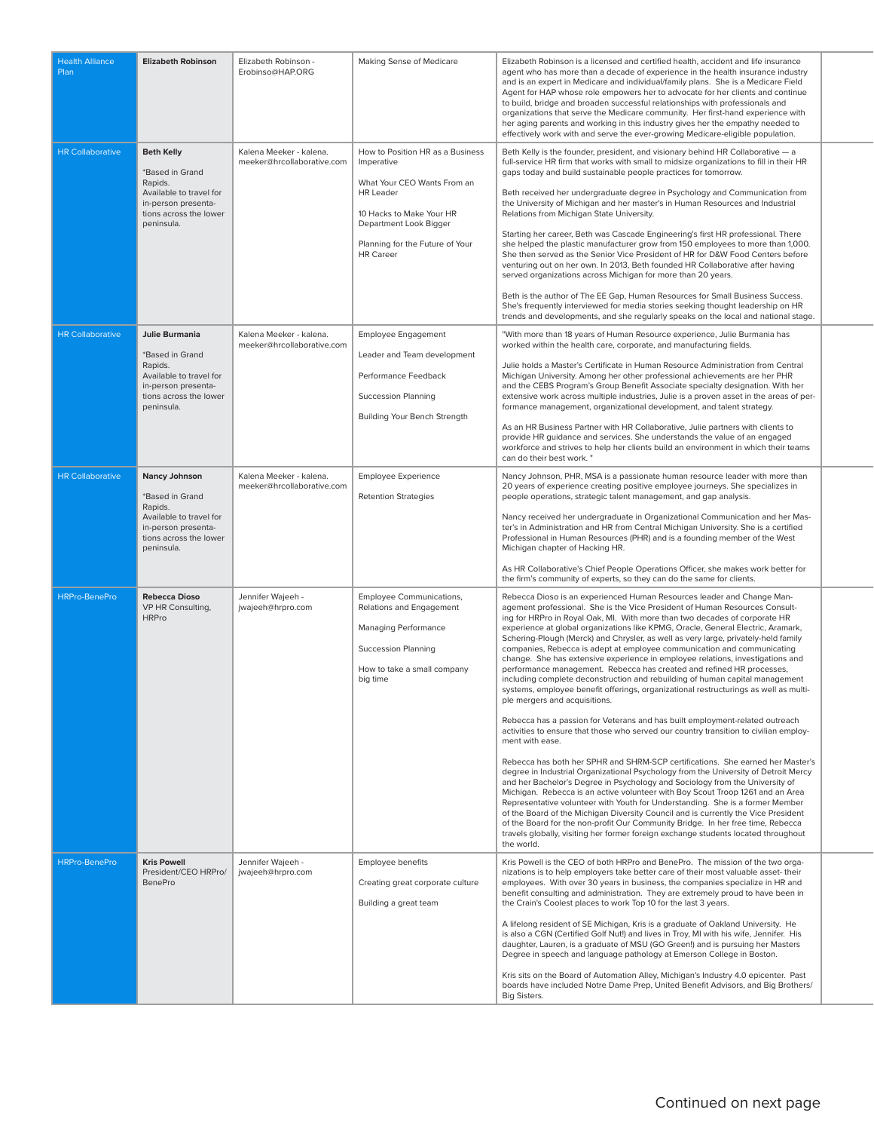| <b>Health Alliance</b><br>Plan<br><b>HR Collaborative</b> | <b>Elizabeth Robinson</b><br><b>Beth Kelly</b><br>*Based in Grand<br>Rapids.<br>Available to travel for                                | Elizabeth Robinson -<br>Erobinso@HAP.ORG<br>Kalena Meeker - kalena.<br>meeker@hrcollaborative.com | Making Sense of Medicare<br>How to Position HR as a Business<br>Imperative<br>What Your CEO Wants From an<br><b>HR</b> Leader                         | Elizabeth Robinson is a licensed and certified health, accident and life insurance<br>agent who has more than a decade of experience in the health insurance industry<br>and is an expert in Medicare and individual/family plans. She is a Medicare Field<br>Agent for HAP whose role empowers her to advocate for her clients and continue<br>to build, bridge and broaden successful relationships with professionals and<br>organizations that serve the Medicare community. Her first-hand experience with<br>her aging parents and working in this industry gives her the empathy needed to<br>effectively work with and serve the ever-growing Medicare-eligible population.<br>Beth Kelly is the founder, president, and visionary behind HR Collaborative - a<br>full-service HR firm that works with small to midsize organizations to fill in their HR<br>gaps today and build sustainable people practices for tomorrow.<br>Beth received her undergraduate degree in Psychology and Communication from                                                                                                                                                                                                                                                                                                                                                                                                                                                                                                                                                                                                                                                                                                                                               |
|-----------------------------------------------------------|----------------------------------------------------------------------------------------------------------------------------------------|---------------------------------------------------------------------------------------------------|-------------------------------------------------------------------------------------------------------------------------------------------------------|-------------------------------------------------------------------------------------------------------------------------------------------------------------------------------------------------------------------------------------------------------------------------------------------------------------------------------------------------------------------------------------------------------------------------------------------------------------------------------------------------------------------------------------------------------------------------------------------------------------------------------------------------------------------------------------------------------------------------------------------------------------------------------------------------------------------------------------------------------------------------------------------------------------------------------------------------------------------------------------------------------------------------------------------------------------------------------------------------------------------------------------------------------------------------------------------------------------------------------------------------------------------------------------------------------------------------------------------------------------------------------------------------------------------------------------------------------------------------------------------------------------------------------------------------------------------------------------------------------------------------------------------------------------------------------------------------------------------------------------------------------------------|
|                                                           | in-person presenta-<br>tions across the lower<br>peninsula.                                                                            |                                                                                                   | 10 Hacks to Make Your HR<br>Department Look Bigger<br>Planning for the Future of Your<br><b>HR</b> Career                                             | the University of Michigan and her master's in Human Resources and Industrial<br>Relations from Michigan State University.<br>Starting her career, Beth was Cascade Engineering's first HR professional. There<br>she helped the plastic manufacturer grow from 150 employees to more than 1,000.<br>She then served as the Senior Vice President of HR for D&W Food Centers before<br>venturing out on her own. In 2013, Beth founded HR Collaborative after having<br>served organizations across Michigan for more than 20 years.<br>Beth is the author of The EE Gap, Human Resources for Small Business Success.<br>She's frequently interviewed for media stories seeking thought leadership on HR<br>trends and developments, and she regularly speaks on the local and national stage.                                                                                                                                                                                                                                                                                                                                                                                                                                                                                                                                                                                                                                                                                                                                                                                                                                                                                                                                                                    |
| <b>HR Collaborative</b>                                   | Julie Burmania<br>*Based in Grand<br>Rapids.<br>Available to travel for<br>in-person presenta-<br>tions across the lower<br>peninsula. | Kalena Meeker - kalena.<br>meeker@hrcollaborative.com                                             | <b>Employee Engagement</b><br>Leader and Team development<br>Performance Feedback<br><b>Succession Planning</b><br>Building Your Bench Strength       | "With more than 18 years of Human Resource experience, Julie Burmania has<br>worked within the health care, corporate, and manufacturing fields.<br>Julie holds a Master's Certificate in Human Resource Administration from Central<br>Michigan University. Among her other professional achievements are her PHR<br>and the CEBS Program's Group Benefit Associate specialty designation. With her<br>extensive work across multiple industries, Julie is a proven asset in the areas of per-<br>formance management, organizational development, and talent strategy.<br>As an HR Business Partner with HR Collaborative, Julie partners with clients to<br>provide HR guidance and services. She understands the value of an engaged<br>workforce and strives to help her clients build an environment in which their teams<br>can do their best work."                                                                                                                                                                                                                                                                                                                                                                                                                                                                                                                                                                                                                                                                                                                                                                                                                                                                                                       |
| <b>HR Collaborative</b>                                   | Nancy Johnson<br>*Based in Grand<br>Rapids.<br>Available to travel for<br>in-person presenta-<br>tions across the lower<br>peninsula.  | Kalena Meeker - kalena.<br>meeker@hrcollaborative.com                                             | <b>Employee Experience</b><br><b>Retention Strategies</b>                                                                                             | Nancy Johnson, PHR, MSA is a passionate human resource leader with more than<br>20 years of experience creating positive employee journeys. She specializes in<br>people operations, strategic talent management, and gap analysis.<br>Nancy received her undergraduate in Organizational Communication and her Mas-<br>ter's in Administration and HR from Central Michigan University. She is a certified<br>Professional in Human Resources (PHR) and is a founding member of the West<br>Michigan chapter of Hacking HR.<br>As HR Collaborative's Chief People Operations Officer, she makes work better for<br>the firm's community of experts, so they can do the same for clients.                                                                                                                                                                                                                                                                                                                                                                                                                                                                                                                                                                                                                                                                                                                                                                                                                                                                                                                                                                                                                                                                         |
| <b>HRPro-BenePro</b>                                      | <b>Rebecca Dioso</b><br>VP HR Consulting,<br><b>HRPro</b>                                                                              | Jennifer Wajeeh -<br>jwajeeh@hrpro.com                                                            | Employee Communications,<br>Relations and Engagement<br><b>Managing Performance</b><br>Succession Planning<br>How to take a small company<br>big time | Rebecca Dioso is an experienced Human Resources leader and Change Man-<br>agement professional. She is the Vice President of Human Resources Consult-<br>ing for HRPro in Royal Oak, MI. With more than two decades of corporate HR<br>experience at global organizations like KPMG, Oracle, General Electric, Aramark,<br>Schering-Plough (Merck) and Chrysler, as well as very large, privately-held family<br>companies, Rebecca is adept at employee communication and communicating<br>change. She has extensive experience in employee relations, investigations and<br>performance management. Rebecca has created and refined HR processes,<br>including complete deconstruction and rebuilding of human capital management<br>systems, employee benefit offerings, organizational restructurings as well as multi-<br>ple mergers and acquisitions.<br>Rebecca has a passion for Veterans and has built employment-related outreach<br>activities to ensure that those who served our country transition to civilian employ-<br>ment with ease.<br>Rebecca has both her SPHR and SHRM-SCP certifications. She earned her Master's<br>degree in Industrial Organizational Psychology from the University of Detroit Mercy<br>and her Bachelor's Degree in Psychology and Sociology from the University of<br>Michigan. Rebecca is an active volunteer with Boy Scout Troop 1261 and an Area<br>Representative volunteer with Youth for Understanding. She is a former Member<br>of the Board of the Michigan Diversity Council and is currently the Vice President<br>of the Board for the non-profit Our Community Bridge. In her free time, Rebecca<br>travels globally, visiting her former foreign exchange students located throughout<br>the world. |
| <b>HRPro-BenePro</b>                                      | <b>Kris Powell</b><br>President/CEO HRPro/<br><b>BenePro</b>                                                                           | Jennifer Wajeeh -<br>jwajeeh@hrpro.com                                                            | Employee benefits<br>Creating great corporate culture<br>Building a great team                                                                        | Kris Powell is the CEO of both HRPro and BenePro. The mission of the two orga-<br>nizations is to help employers take better care of their most valuable asset- their<br>employees. With over 30 years in business, the companies specialize in HR and<br>benefit consulting and administration. They are extremely proud to have been in<br>the Crain's Coolest places to work Top 10 for the last 3 years.<br>A lifelong resident of SE Michigan, Kris is a graduate of Oakland University. He<br>is also a CGN (Certified Golf Nut!) and lives in Troy, MI with his wife, Jennifer. His<br>daughter, Lauren, is a graduate of MSU (GO Green!) and is pursuing her Masters<br>Degree in speech and language pathology at Emerson College in Boston.<br>Kris sits on the Board of Automation Alley, Michigan's Industry 4.0 epicenter. Past<br>boards have included Notre Dame Prep, United Benefit Advisors, and Big Brothers/<br><b>Big Sisters.</b>                                                                                                                                                                                                                                                                                                                                                                                                                                                                                                                                                                                                                                                                                                                                                                                                           |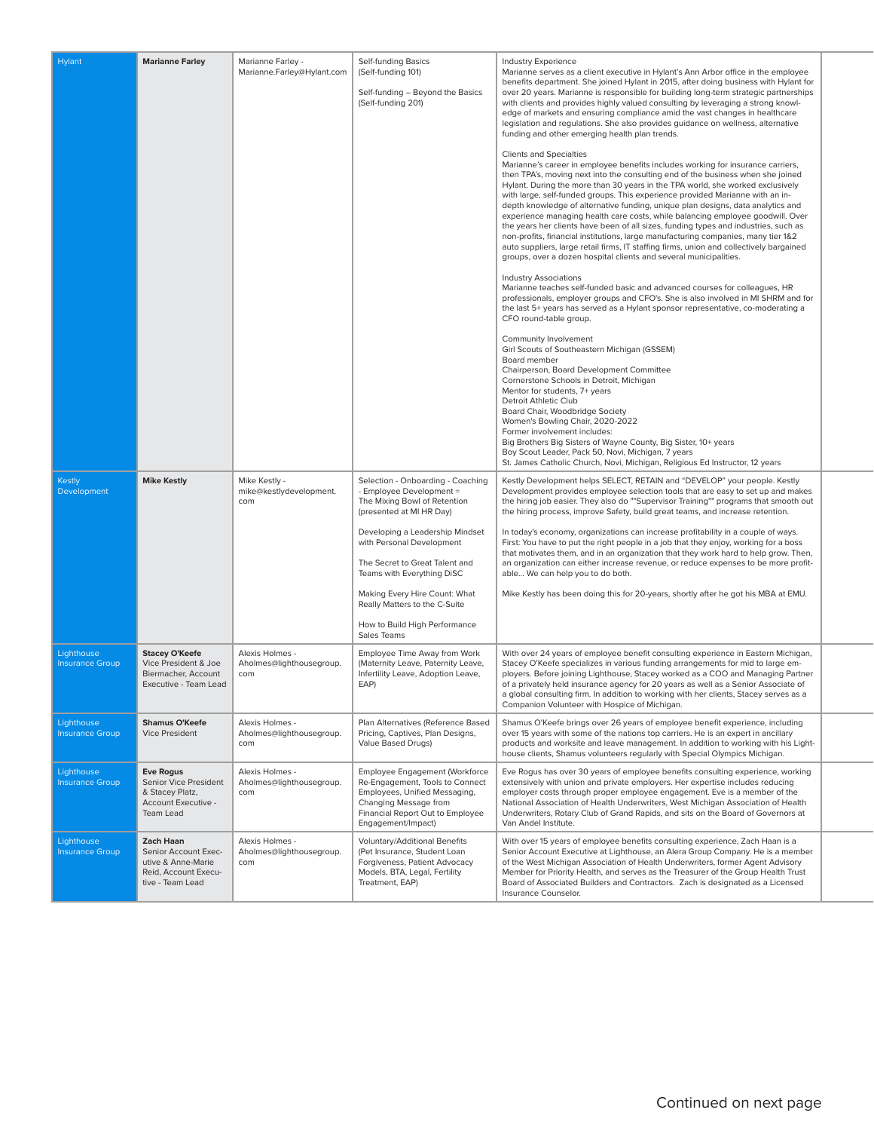| <b>Hylant</b>                        | <b>Marianne Farley</b>                                                                                     | Marianne Farley -<br>Marianne.Farley@Hylant.com    | Self-funding Basics<br>(Self-funding 101)<br>Self-funding - Beyond the Basics<br>(Self-funding 201)                                                                                                                                                                                                                                                                         | <b>Industry Experience</b><br>Marianne serves as a client executive in Hylant's Ann Arbor office in the employee<br>benefits department. She joined Hylant in 2015, after doing business with Hylant for<br>over 20 years. Marianne is responsible for building long-term strategic partnerships<br>with clients and provides highly valued consulting by leveraging a strong knowl-<br>edge of markets and ensuring compliance amid the vast changes in healthcare<br>legislation and regulations. She also provides guidance on wellness, alternative<br>funding and other emerging health plan trends.<br><b>Clients and Specialties</b><br>Marianne's career in employee benefits includes working for insurance carriers,<br>then TPA's, moving next into the consulting end of the business when she joined<br>Hylant. During the more than 30 years in the TPA world, she worked exclusively<br>with large, self-funded groups. This experience provided Marianne with an in-<br>depth knowledge of alternative funding, unique plan designs, data analytics and<br>experience managing health care costs, while balancing employee goodwill. Over<br>the years her clients have been of all sizes, funding types and industries, such as<br>non-profits, financial institutions, large manufacturing companies, many tier 1&2<br>auto suppliers, large retail firms, IT staffing firms, union and collectively bargained<br>groups, over a dozen hospital clients and several municipalities.<br><b>Industry Associations</b><br>Marianne teaches self-funded basic and advanced courses for colleagues, HR<br>professionals, employer groups and CFO's. She is also involved in MI SHRM and for<br>the last 5+ years has served as a Hylant sponsor representative, co-moderating a<br>CFO round-table group.<br>Community Involvement<br>Girl Scouts of Southeastern Michigan (GSSEM)<br>Board member<br>Chairperson, Board Development Committee<br>Cornerstone Schools in Detroit, Michigan<br>Mentor for students, 7+ years<br>Detroit Athletic Club<br>Board Chair, Woodbridge Society<br>Women's Bowling Chair, 2020-2022<br>Former involvement includes:<br>Big Brothers Big Sisters of Wayne County, Big Sister, 10+ years<br>Boy Scout Leader, Pack 50, Novi, Michigan, 7 years<br>St. James Catholic Church, Novi, Michigan, Religious Ed Instructor, 12 years |  |
|--------------------------------------|------------------------------------------------------------------------------------------------------------|----------------------------------------------------|-----------------------------------------------------------------------------------------------------------------------------------------------------------------------------------------------------------------------------------------------------------------------------------------------------------------------------------------------------------------------------|-----------------------------------------------------------------------------------------------------------------------------------------------------------------------------------------------------------------------------------------------------------------------------------------------------------------------------------------------------------------------------------------------------------------------------------------------------------------------------------------------------------------------------------------------------------------------------------------------------------------------------------------------------------------------------------------------------------------------------------------------------------------------------------------------------------------------------------------------------------------------------------------------------------------------------------------------------------------------------------------------------------------------------------------------------------------------------------------------------------------------------------------------------------------------------------------------------------------------------------------------------------------------------------------------------------------------------------------------------------------------------------------------------------------------------------------------------------------------------------------------------------------------------------------------------------------------------------------------------------------------------------------------------------------------------------------------------------------------------------------------------------------------------------------------------------------------------------------------------------------------------------------------------------------------------------------------------------------------------------------------------------------------------------------------------------------------------------------------------------------------------------------------------------------------------------------------------------------------------------------------------------------------------------------------------------------------------------------------------------------------------------|--|
| <b>Kestly</b><br>Development         | <b>Mike Kestly</b>                                                                                         | Mike Kestly -<br>mike@kestlydevelopment.<br>com    | Selection - Onboarding - Coaching<br>- Employee Development =<br>The Mixing Bowl of Retention<br>(presented at MI HR Day)<br>Developing a Leadership Mindset<br>with Personal Development<br>The Secret to Great Talent and<br>Teams with Everything DiSC<br>Making Every Hire Count: What<br>Really Matters to the C-Suite<br>How to Build High Performance<br>Sales Teams | Kestly Development helps SELECT, RETAIN and "DEVELOP" your people. Kestly<br>Development provides employee selection tools that are easy to set up and makes<br>the hiring job easier. They also do ""Supervisor Training"" programs that smooth out<br>the hiring process, improve Safety, build great teams, and increase retention.<br>In today's economy, organizations can increase profitability in a couple of ways.<br>First: You have to put the right people in a job that they enjoy, working for a boss<br>that motivates them, and in an organization that they work hard to help grow. Then,<br>an organization can either increase revenue, or reduce expenses to be more profit-<br>able We can help you to do both.<br>Mike Kestly has been doing this for 20-years, shortly after he got his MBA at EMU.                                                                                                                                                                                                                                                                                                                                                                                                                                                                                                                                                                                                                                                                                                                                                                                                                                                                                                                                                                                                                                                                                                                                                                                                                                                                                                                                                                                                                                                                                                                                                        |  |
| Lighthouse<br><b>Insurance Group</b> | <b>Stacey O'Keefe</b><br>Vice President & Joe<br>Biermacher, Account<br>Executive - Team Lead              | Alexis Holmes -<br>Aholmes@lighthousegroup.<br>com | Employee Time Away from Work<br>(Maternity Leave, Paternity Leave,<br>Infertility Leave, Adoption Leave,<br>EAP)                                                                                                                                                                                                                                                            | With over 24 years of employee benefit consulting experience in Eastern Michigan,<br>Stacey O'Keefe specializes in various funding arrangements for mid to large em-<br>ployers. Before joining Lighthouse, Stacey worked as a COO and Managing Partner<br>of a privately held insurance agency for 20 years as well as a Senior Associate of<br>a global consulting firm. In addition to working with her clients, Stacey serves as a<br>Companion Volunteer with Hospice of Michigan.                                                                                                                                                                                                                                                                                                                                                                                                                                                                                                                                                                                                                                                                                                                                                                                                                                                                                                                                                                                                                                                                                                                                                                                                                                                                                                                                                                                                                                                                                                                                                                                                                                                                                                                                                                                                                                                                                           |  |
| Lighthouse<br><b>Insurance Group</b> | <b>Shamus O'Keefe</b><br><b>Vice President</b>                                                             | Alexis Holmes -<br>Aholmes@lighthousegroup.<br>com | Plan Alternatives (Reference Based<br>Pricing, Captives, Plan Designs,<br>Value Based Drugs)                                                                                                                                                                                                                                                                                | Shamus O'Keefe brings over 26 years of employee benefit experience, including<br>over 15 years with some of the nations top carriers. He is an expert in ancillary<br>products and worksite and leave management. In addition to working with his Light-<br>house clients, Shamus volunteers regularly with Special Olympics Michigan.                                                                                                                                                                                                                                                                                                                                                                                                                                                                                                                                                                                                                                                                                                                                                                                                                                                                                                                                                                                                                                                                                                                                                                                                                                                                                                                                                                                                                                                                                                                                                                                                                                                                                                                                                                                                                                                                                                                                                                                                                                            |  |
| Lighthouse<br><b>Insurance Group</b> | <b>Eve Rogus</b><br>Senior Vice President<br>& Stacey Platz,<br>Account Executive -<br><b>Team Lead</b>    | Alexis Holmes -<br>Aholmes@lighthousegroup.<br>com | Employee Engagement (Workforce<br>Re-Engagement, Tools to Connect<br>Employees, Unified Messaging,<br>Changing Message from<br>Financial Report Out to Employee<br>Engagement/Impact)                                                                                                                                                                                       | Eve Rogus has over 30 years of employee benefits consulting experience, working<br>extensively with union and private employers. Her expertise includes reducing<br>employer costs through proper employee engagement. Eve is a member of the<br>National Association of Health Underwriters, West Michigan Association of Health<br>Underwriters, Rotary Club of Grand Rapids, and sits on the Board of Governors at<br>Van Andel Institute.                                                                                                                                                                                                                                                                                                                                                                                                                                                                                                                                                                                                                                                                                                                                                                                                                                                                                                                                                                                                                                                                                                                                                                                                                                                                                                                                                                                                                                                                                                                                                                                                                                                                                                                                                                                                                                                                                                                                     |  |
| Lighthouse<br><b>Insurance Group</b> | <b>Zach Haan</b><br>Senior Account Exec-<br>utive & Anne-Marie<br>Reid, Account Execu-<br>tive - Team Lead | Alexis Holmes -<br>Aholmes@lighthousegroup.<br>com | Voluntary/Additional Benefits<br>(Pet Insurance, Student Loan<br>Forgiveness, Patient Advocacy<br>Models, BTA, Legal, Fertility<br>Treatment, EAP)                                                                                                                                                                                                                          | With over 15 years of employee benefits consulting experience, Zach Haan is a<br>Senior Account Executive at Lighthouse, an Alera Group Company. He is a member<br>of the West Michigan Association of Health Underwriters, former Agent Advisory<br>Member for Priority Health, and serves as the Treasurer of the Group Health Trust<br>Board of Associated Builders and Contractors. Zach is designated as a Licensed<br>Insurance Counselor.                                                                                                                                                                                                                                                                                                                                                                                                                                                                                                                                                                                                                                                                                                                                                                                                                                                                                                                                                                                                                                                                                                                                                                                                                                                                                                                                                                                                                                                                                                                                                                                                                                                                                                                                                                                                                                                                                                                                  |  |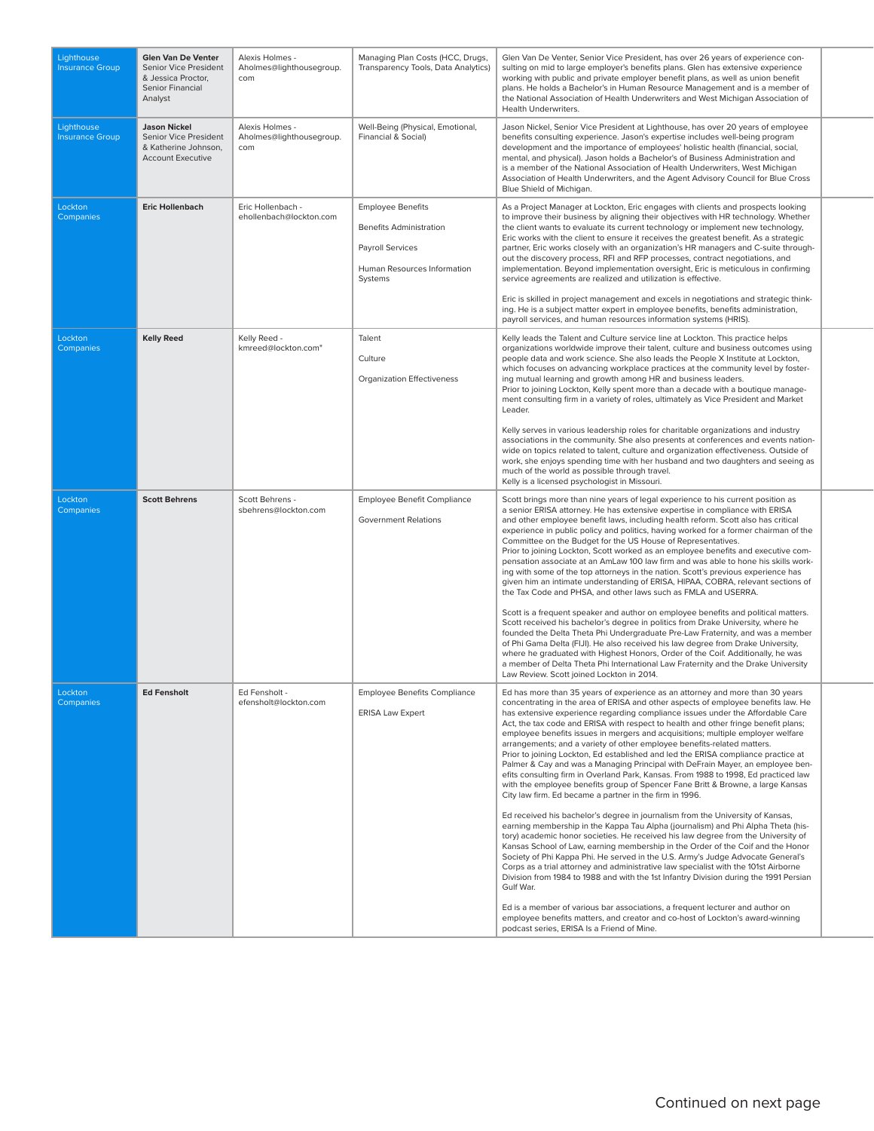| Lighthouse<br><b>Insurance Group</b> | Glen Van De Venter<br>Senior Vice President<br>& Jessica Proctor,<br>Senior Financial<br>Analyst | Alexis Holmes -<br>Aholmes@lighthousegroup.<br>com | Managing Plan Costs (HCC, Drugs,<br>Transparency Tools, Data Analytics)                                                  | Glen Van De Venter, Senior Vice President, has over 26 years of experience con-<br>sulting on mid to large employer's benefits plans. Glen has extensive experience<br>working with public and private employer benefit plans, as well as union benefit<br>plans. He holds a Bachelor's in Human Resource Management and is a member of<br>the National Association of Health Underwriters and West Michigan Association of<br>Health Underwriters.                                                                                                                                                                                                                                                                                                                                                                                                                                                                                                                                                                                                                                                                                                                                                                                                                                                                                                                                                                                                                                                                                                                                                                                                                                                                                                                |
|--------------------------------------|--------------------------------------------------------------------------------------------------|----------------------------------------------------|--------------------------------------------------------------------------------------------------------------------------|--------------------------------------------------------------------------------------------------------------------------------------------------------------------------------------------------------------------------------------------------------------------------------------------------------------------------------------------------------------------------------------------------------------------------------------------------------------------------------------------------------------------------------------------------------------------------------------------------------------------------------------------------------------------------------------------------------------------------------------------------------------------------------------------------------------------------------------------------------------------------------------------------------------------------------------------------------------------------------------------------------------------------------------------------------------------------------------------------------------------------------------------------------------------------------------------------------------------------------------------------------------------------------------------------------------------------------------------------------------------------------------------------------------------------------------------------------------------------------------------------------------------------------------------------------------------------------------------------------------------------------------------------------------------------------------------------------------------------------------------------------------------|
| Lighthouse<br><b>Insurance Group</b> | <b>Jason Nickel</b><br>Senior Vice President<br>& Katherine Johnson,<br><b>Account Executive</b> | Alexis Holmes -<br>Aholmes@lighthousegroup.<br>com | Well-Being (Physical, Emotional,<br>Financial & Social)                                                                  | Jason Nickel, Senior Vice President at Lighthouse, has over 20 years of employee<br>benefits consulting experience. Jason's expertise includes well-being program<br>development and the importance of employees' holistic health (financial, social,<br>mental, and physical). Jason holds a Bachelor's of Business Administration and<br>is a member of the National Association of Health Underwriters, West Michigan<br>Association of Health Underwriters, and the Agent Advisory Council for Blue Cross<br>Blue Shield of Michigan.                                                                                                                                                                                                                                                                                                                                                                                                                                                                                                                                                                                                                                                                                                                                                                                                                                                                                                                                                                                                                                                                                                                                                                                                                          |
| Lockton<br><b>Companies</b>          | <b>Eric Hollenbach</b>                                                                           | Eric Hollenbach -<br>ehollenbach@lockton.com       | <b>Employee Benefits</b><br><b>Benefits Administration</b><br>Payroll Services<br>Human Resources Information<br>Systems | As a Project Manager at Lockton, Eric engages with clients and prospects looking<br>to improve their business by aligning their objectives with HR technology. Whether<br>the client wants to evaluate its current technology or implement new technology,<br>Eric works with the client to ensure it receives the greatest benefit. As a strategic<br>partner, Eric works closely with an organization's HR managers and C-suite through-<br>out the discovery process, RFI and RFP processes, contract negotiations, and<br>implementation. Beyond implementation oversight, Eric is meticulous in confirming<br>service agreements are realized and utilization is effective.<br>Eric is skilled in project management and excels in negotiations and strategic think-<br>ing. He is a subject matter expert in employee benefits, benefits administration,<br>payroll services, and human resources information systems (HRIS).                                                                                                                                                                                                                                                                                                                                                                                                                                                                                                                                                                                                                                                                                                                                                                                                                                |
| Lockton<br>Companies                 | <b>Kelly Reed</b>                                                                                | Kelly Reed -<br>kmreed@lockton.com"                | Talent<br>Culture<br><b>Organization Effectiveness</b>                                                                   | Kelly leads the Talent and Culture service line at Lockton. This practice helps<br>organizations worldwide improve their talent, culture and business outcomes using<br>people data and work science. She also leads the People X Institute at Lockton,<br>which focuses on advancing workplace practices at the community level by foster-<br>ing mutual learning and growth among HR and business leaders.<br>Prior to joining Lockton, Kelly spent more than a decade with a boutique manage-<br>ment consulting firm in a variety of roles, ultimately as Vice President and Market<br>Leader.<br>Kelly serves in various leadership roles for charitable organizations and industry<br>associations in the community. She also presents at conferences and events nation-<br>wide on topics related to talent, culture and organization effectiveness. Outside of<br>work, she enjoys spending time with her husband and two daughters and seeing as<br>much of the world as possible through travel.<br>Kelly is a licensed psychologist in Missouri.                                                                                                                                                                                                                                                                                                                                                                                                                                                                                                                                                                                                                                                                                                        |
| Lockton<br>Companies                 | <b>Scott Behrens</b>                                                                             | Scott Behrens -<br>sbehrens@lockton.com            | <b>Employee Benefit Compliance</b><br><b>Government Relations</b>                                                        | Scott brings more than nine years of legal experience to his current position as<br>a senior ERISA attorney. He has extensive expertise in compliance with ERISA<br>and other employee benefit laws, including health reform. Scott also has critical<br>experience in public policy and politics, having worked for a former chairman of the<br>Committee on the Budget for the US House of Representatives.<br>Prior to joining Lockton, Scott worked as an employee benefits and executive com-<br>pensation associate at an AmLaw 100 law firm and was able to hone his skills work-<br>ing with some of the top attorneys in the nation. Scott's previous experience has<br>given him an intimate understanding of ERISA, HIPAA, COBRA, relevant sections of<br>the Tax Code and PHSA, and other laws such as FMLA and USERRA.<br>Scott is a frequent speaker and author on employee benefits and political matters.<br>Scott received his bachelor's degree in politics from Drake University, where he<br>founded the Delta Theta Phi Undergraduate Pre-Law Fraternity, and was a member<br>of Phi Gama Delta (FIJI). He also received his law degree from Drake University,<br>where he graduated with Highest Honors, Order of the Coif. Additionally, he was<br>a member of Delta Theta Phi International Law Fraternity and the Drake University<br>Law Review. Scott joined Lockton in 2014.                                                                                                                                                                                                                                                                                                                                                           |
| Lockton<br>Companies                 | <b>Ed Fensholt</b>                                                                               | Ed Fensholt -<br>efensholt@lockton.com             | <b>Employee Benefits Compliance</b><br><b>ERISA Law Expert</b>                                                           | Ed has more than 35 years of experience as an attorney and more than 30 years<br>concentrating in the area of ERISA and other aspects of employee benefits law. He<br>has extensive experience regarding compliance issues under the Affordable Care<br>Act, the tax code and ERISA with respect to health and other fringe benefit plans;<br>employee benefits issues in mergers and acquisitions; multiple employer welfare<br>arrangements; and a variety of other employee benefits-related matters.<br>Prior to joining Lockton, Ed established and led the ERISA compliance practice at<br>Palmer & Cay and was a Managing Principal with DeFrain Mayer, an employee ben-<br>efits consulting firm in Overland Park, Kansas. From 1988 to 1998, Ed practiced law<br>with the employee benefits group of Spencer Fane Britt & Browne, a large Kansas<br>City law firm. Ed became a partner in the firm in 1996.<br>Ed received his bachelor's degree in journalism from the University of Kansas,<br>earning membership in the Kappa Tau Alpha (journalism) and Phi Alpha Theta (his-<br>tory) academic honor societies. He received his law degree from the University of<br>Kansas School of Law, earning membership in the Order of the Coif and the Honor<br>Society of Phi Kappa Phi. He served in the U.S. Army's Judge Advocate General's<br>Corps as a trial attorney and administrative law specialist with the 101st Airborne<br>Division from 1984 to 1988 and with the 1st Infantry Division during the 1991 Persian<br>Gulf War.<br>Ed is a member of various bar associations, a frequent lecturer and author on<br>employee benefits matters, and creator and co-host of Lockton's award-winning<br>podcast series, ERISA Is a Friend of Mine. |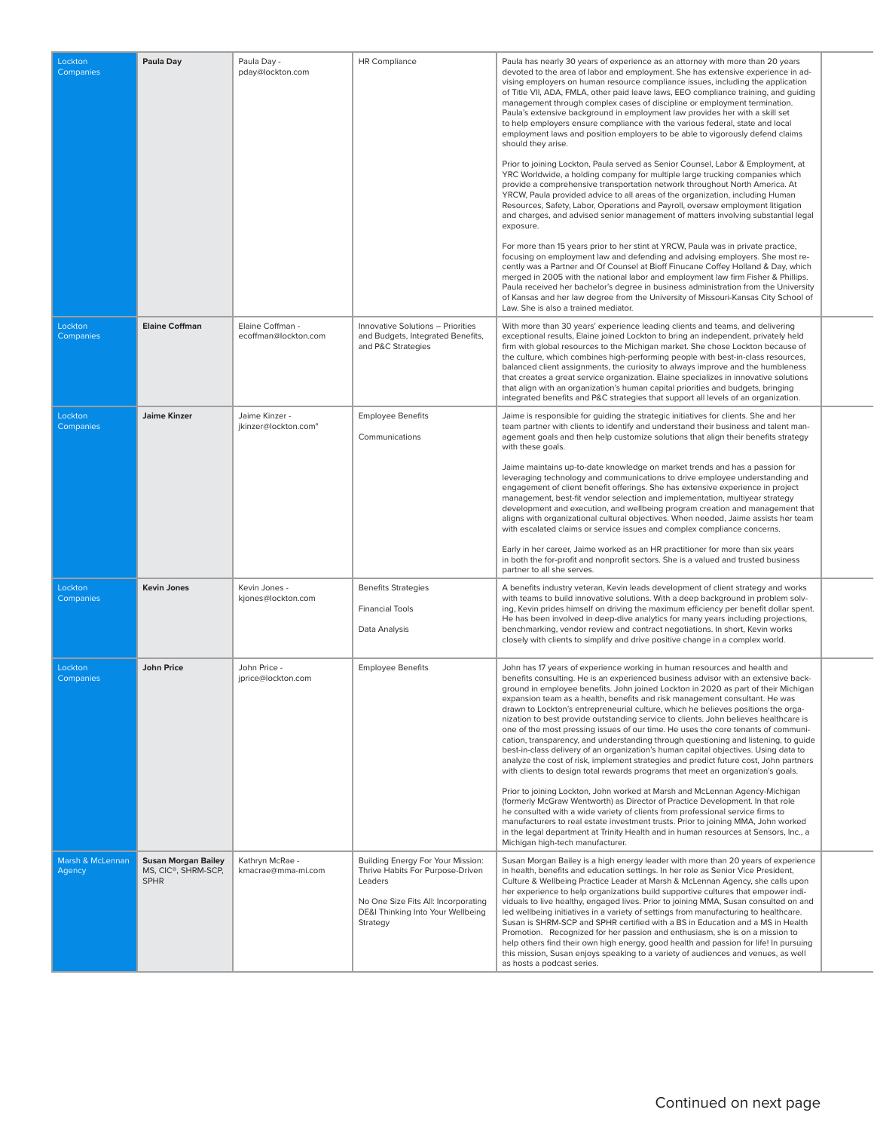| Lockton<br>Companies        | Paula Day                                                                     | Paula Day -<br>pday@lockton.com          | <b>HR Compliance</b>                                                                                                                                                     | Paula has nearly 30 years of experience as an attorney with more than 20 years<br>devoted to the area of labor and employment. She has extensive experience in ad-<br>vising employers on human resource compliance issues, including the application<br>of Title VII, ADA, FMLA, other paid leave laws, EEO compliance training, and guiding<br>management through complex cases of discipline or employment termination.<br>Paula's extensive background in employment law provides her with a skill set<br>to help employers ensure compliance with the various federal, state and local<br>employment laws and position employers to be able to vigorously defend claims<br>should they arise.<br>Prior to joining Lockton, Paula served as Senior Counsel, Labor & Employment, at<br>YRC Worldwide, a holding company for multiple large trucking companies which<br>provide a comprehensive transportation network throughout North America. At<br>YRCW, Paula provided advice to all areas of the organization, including Human<br>Resources, Safety, Labor, Operations and Payroll, oversaw employment litigation<br>and charges, and advised senior management of matters involving substantial legal<br>exposure.<br>For more than 15 years prior to her stint at YRCW, Paula was in private practice,<br>focusing on employment law and defending and advising employers. She most re-<br>cently was a Partner and Of Counsel at Bioff Finucane Coffey Holland & Day, which<br>merged in 2005 with the national labor and employment law firm Fisher & Phillips.<br>Paula received her bachelor's degree in business administration from the University<br>of Kansas and her law degree from the University of Missouri-Kansas City School of<br>Law. She is also a trained mediator. |  |
|-----------------------------|-------------------------------------------------------------------------------|------------------------------------------|--------------------------------------------------------------------------------------------------------------------------------------------------------------------------|--------------------------------------------------------------------------------------------------------------------------------------------------------------------------------------------------------------------------------------------------------------------------------------------------------------------------------------------------------------------------------------------------------------------------------------------------------------------------------------------------------------------------------------------------------------------------------------------------------------------------------------------------------------------------------------------------------------------------------------------------------------------------------------------------------------------------------------------------------------------------------------------------------------------------------------------------------------------------------------------------------------------------------------------------------------------------------------------------------------------------------------------------------------------------------------------------------------------------------------------------------------------------------------------------------------------------------------------------------------------------------------------------------------------------------------------------------------------------------------------------------------------------------------------------------------------------------------------------------------------------------------------------------------------------------------------------------------------------------------------------------------------------------------------------|--|
| Lockton<br>Companies        | <b>Elaine Coffman</b>                                                         | Elaine Coffman -<br>ecoffman@lockton.com | Innovative Solutions - Priorities<br>and Budgets, Integrated Benefits,<br>and P&C Strategies                                                                             | With more than 30 years' experience leading clients and teams, and delivering<br>exceptional results, Elaine joined Lockton to bring an independent, privately held<br>firm with global resources to the Michigan market. She chose Lockton because of<br>the culture, which combines high-performing people with best-in-class resources,<br>balanced client assignments, the curiosity to always improve and the humbleness<br>that creates a great service organization. Elaine specializes in innovative solutions<br>that align with an organization's human capital priorities and budgets, bringing<br>integrated benefits and P&C strategies that support all levels of an organization.                                                                                                                                                                                                                                                                                                                                                                                                                                                                                                                                                                                                                                                                                                                                                                                                                                                                                                                                                                                                                                                                                                 |  |
| Lockton<br>Companies        | <b>Jaime Kinzer</b>                                                           | Jaime Kinzer -<br>jkinzer@lockton.com"   | <b>Employee Benefits</b><br>Communications                                                                                                                               | Jaime is responsible for guiding the strategic initiatives for clients. She and her<br>team partner with clients to identify and understand their business and talent man-<br>agement goals and then help customize solutions that align their benefits strategy<br>with these goals.<br>Jaime maintains up-to-date knowledge on market trends and has a passion for<br>leveraging technology and communications to drive employee understanding and<br>engagement of client benefit offerings. She has extensive experience in project<br>management, best-fit vendor selection and implementation, multiyear strategy<br>development and execution, and wellbeing program creation and management that<br>aligns with organizational cultural objectives. When needed, Jaime assists her team<br>with escalated claims or service issues and complex compliance concerns.<br>Early in her career, Jaime worked as an HR practitioner for more than six years<br>in both the for-profit and nonprofit sectors. She is a valued and trusted business<br>partner to all she serves.                                                                                                                                                                                                                                                                                                                                                                                                                                                                                                                                                                                                                                                                                                               |  |
| Lockton<br>Companies        | <b>Kevin Jones</b>                                                            | Kevin Jones -<br>kjones@lockton.com      | <b>Benefits Strategies</b><br><b>Financial Tools</b><br>Data Analysis                                                                                                    | A benefits industry veteran, Kevin leads development of client strategy and works<br>with teams to build innovative solutions. With a deep background in problem solv-<br>ing, Kevin prides himself on driving the maximum efficiency per benefit dollar spent.<br>He has been involved in deep-dive analytics for many years including projections,<br>benchmarking, vendor review and contract negotiations. In short, Kevin works<br>closely with clients to simplify and drive positive change in a complex world.                                                                                                                                                                                                                                                                                                                                                                                                                                                                                                                                                                                                                                                                                                                                                                                                                                                                                                                                                                                                                                                                                                                                                                                                                                                                           |  |
| Lockton<br><b>Companies</b> | <b>John Price</b>                                                             | John Price -<br>iprice@lockton.com       | <b>Employee Benefits</b>                                                                                                                                                 | John has 17 years of experience working in human resources and health and<br>benefits consulting. He is an experienced business advisor with an extensive back-<br>ground in employee benefits. John joined Lockton in 2020 as part of their Michigan<br>expansion team as a health, benefits and risk management consultant. He was<br>drawn to Lockton's entrepreneurial culture, which he believes positions the orga-<br>nization to best provide outstanding service to clients. John believes healthcare is<br>one of the most pressing issues of our time. He uses the core tenants of communi-<br>cation, transparency, and understanding through questioning and listening, to quide<br>best-in-class delivery of an organization's human capital objectives. Using data to<br>analyze the cost of risk, implement strategies and predict future cost, John partners<br>with clients to design total rewards programs that meet an organization's goals.<br>Prior to joining Lockton, John worked at Marsh and McLennan Agency-Michigan<br>(formerly McGraw Wentworth) as Director of Practice Development. In that role<br>he consulted with a wide variety of clients from professional service firms to<br>manufacturers to real estate investment trusts. Prior to joining MMA, John worked<br>in the legal department at Trinity Health and in human resources at Sensors, Inc., a<br>Michigan high-tech manufacturer.                                                                                                                                                                                                                                                                                                                                                             |  |
| Marsh & McLennan<br>Agency  | <b>Susan Morgan Bailey</b><br>MS, CIC <sup>®</sup> , SHRM-SCP,<br><b>SPHR</b> | Kathryn McRae -<br>kmacrae@mma-mi.com    | Building Energy For Your Mission:<br>Thrive Habits For Purpose-Driven<br>Leaders<br>No One Size Fits All: Incorporating<br>DE&I Thinking Into Your Wellbeing<br>Strategy | Susan Morgan Bailey is a high energy leader with more than 20 years of experience<br>in health, benefits and education settings. In her role as Senior Vice President,<br>Culture & Wellbeing Practice Leader at Marsh & McLennan Agency, she calls upon<br>her experience to help organizations build supportive cultures that empower indi-<br>viduals to live healthy, engaged lives. Prior to joining MMA, Susan consulted on and<br>led wellbeing initiatives in a variety of settings from manufacturing to healthcare.<br>Susan is SHRM-SCP and SPHR certified with a BS in Education and a MS in Health<br>Promotion. Recognized for her passion and enthusiasm, she is on a mission to<br>help others find their own high energy, good health and passion for life! In pursuing<br>this mission, Susan enjoys speaking to a variety of audiences and venues, as well<br>as hosts a podcast series.                                                                                                                                                                                                                                                                                                                                                                                                                                                                                                                                                                                                                                                                                                                                                                                                                                                                                      |  |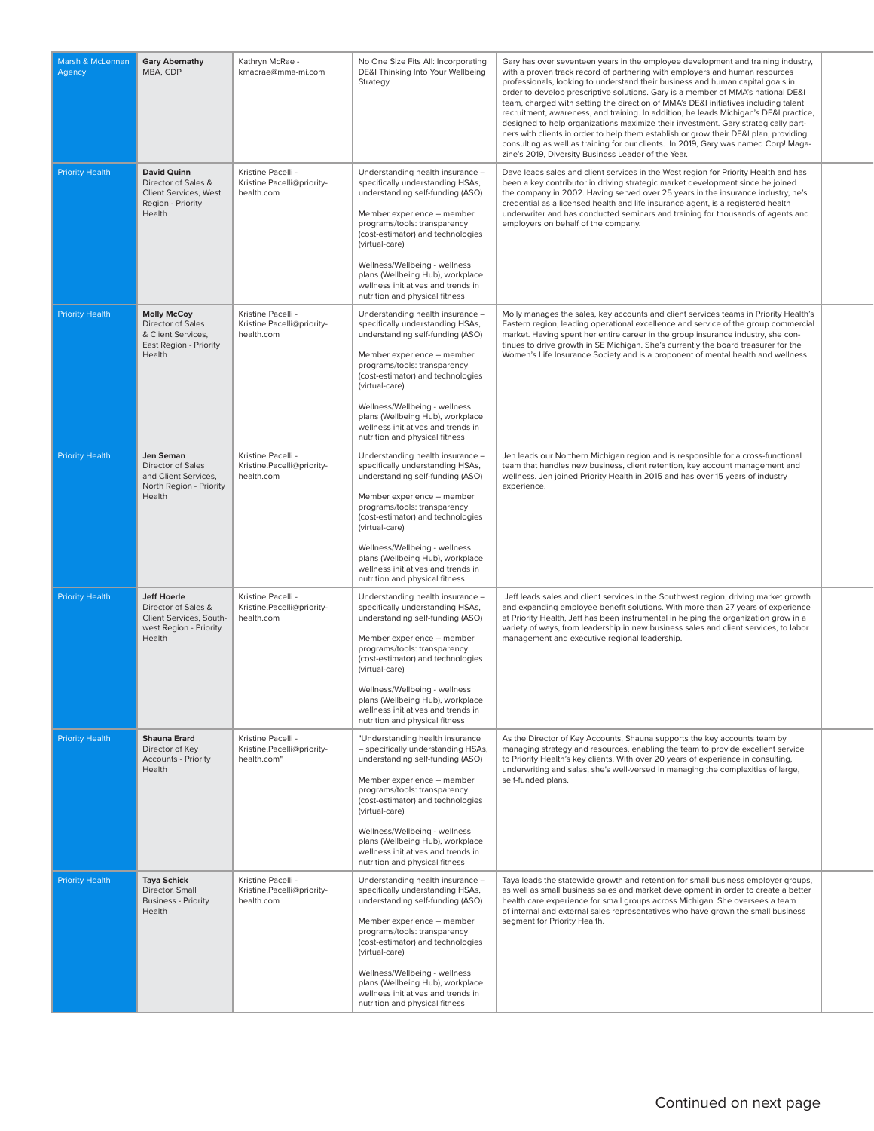| Marsh & McLennan<br>Agency | <b>Gary Abernathy</b><br>MBA, CDP                                                                        | Kathryn McRae -<br>kmacrae@mma-mi.com                           | No One Size Fits All: Incorporating<br>DE&I Thinking Into Your Wellbeing<br>Strategy                                                                                                                                                                                                                                                                                        | Gary has over seventeen years in the employee development and training industry,<br>with a proven track record of partnering with employers and human resources<br>professionals, looking to understand their business and human capital goals in<br>order to develop prescriptive solutions. Gary is a member of MMA's national DE&I<br>team, charged with setting the direction of MMA's DE&I initiatives including talent<br>recruitment, awareness, and training. In addition, he leads Michigan's DE&I practice,<br>designed to help organizations maximize their investment. Gary strategically part-<br>ners with clients in order to help them establish or grow their DE&I plan, providing<br>consulting as well as training for our clients. In 2019, Gary was named Corp! Maga-<br>zine's 2019, Diversity Business Leader of the Year. |  |
|----------------------------|----------------------------------------------------------------------------------------------------------|-----------------------------------------------------------------|-----------------------------------------------------------------------------------------------------------------------------------------------------------------------------------------------------------------------------------------------------------------------------------------------------------------------------------------------------------------------------|---------------------------------------------------------------------------------------------------------------------------------------------------------------------------------------------------------------------------------------------------------------------------------------------------------------------------------------------------------------------------------------------------------------------------------------------------------------------------------------------------------------------------------------------------------------------------------------------------------------------------------------------------------------------------------------------------------------------------------------------------------------------------------------------------------------------------------------------------|--|
| <b>Priority Health</b>     | <b>David Quinn</b><br>Director of Sales &<br>Client Services, West<br>Region - Priority<br>Health        | Kristine Pacelli -<br>Kristine.Pacelli@priority-<br>health.com  | Understanding health insurance -<br>specifically understanding HSAs,<br>understanding self-funding (ASO)<br>Member experience - member<br>programs/tools: transparency<br>(cost-estimator) and technologies<br>(virtual-care)<br>Wellness/Wellbeing - wellness                                                                                                              | Dave leads sales and client services in the West region for Priority Health and has<br>been a key contributor in driving strategic market development since he joined<br>the company in 2002. Having served over 25 years in the insurance industry, he's<br>credential as a licensed health and life insurance agent, is a registered health<br>underwriter and has conducted seminars and training for thousands of agents and<br>employers on behalf of the company.                                                                                                                                                                                                                                                                                                                                                                           |  |
|                            |                                                                                                          |                                                                 | plans (Wellbeing Hub), workplace<br>wellness initiatives and trends in<br>nutrition and physical fitness                                                                                                                                                                                                                                                                    |                                                                                                                                                                                                                                                                                                                                                                                                                                                                                                                                                                                                                                                                                                                                                                                                                                                   |  |
| <b>Priority Health</b>     | <b>Molly McCoy</b><br>Director of Sales<br>& Client Services,<br>East Region - Priority<br>Health        | Kristine Pacelli -<br>Kristine.Pacelli@priority-<br>health.com  | Understanding health insurance -<br>specifically understanding HSAs,<br>understanding self-funding (ASO)<br>Member experience - member<br>programs/tools: transparency<br>(cost-estimator) and technologies<br>(virtual-care)<br>Wellness/Wellbeing - wellness<br>plans (Wellbeing Hub), workplace<br>wellness initiatives and trends in<br>nutrition and physical fitness  | Molly manages the sales, key accounts and client services teams in Priority Health's<br>Eastern region, leading operational excellence and service of the group commercial<br>market. Having spent her entire career in the group insurance industry, she con-<br>tinues to drive growth in SE Michigan. She's currently the board treasurer for the<br>Women's Life Insurance Society and is a proponent of mental health and wellness.                                                                                                                                                                                                                                                                                                                                                                                                          |  |
| <b>Priority Health</b>     | Jen Seman<br>Director of Sales<br>and Client Services,<br>North Region - Priority<br>Health              | Kristine Pacelli -<br>Kristine.Pacelli@priority-<br>health.com  | Understanding health insurance -<br>specifically understanding HSAs,<br>understanding self-funding (ASO)<br>Member experience - member<br>programs/tools: transparency<br>(cost-estimator) and technologies<br>(virtual-care)<br>Wellness/Wellbeing - wellness<br>plans (Wellbeing Hub), workplace<br>wellness initiatives and trends in<br>nutrition and physical fitness  | Jen leads our Northern Michigan region and is responsible for a cross-functional<br>team that handles new business, client retention, key account management and<br>wellness. Jen joined Priority Health in 2015 and has over 15 years of industry<br>experience.                                                                                                                                                                                                                                                                                                                                                                                                                                                                                                                                                                                 |  |
| <b>Priority Health</b>     | <b>Jeff Hoerle</b><br>Director of Sales &<br>Client Services, South-<br>west Region - Priority<br>Health | Kristine Pacelli -<br>Kristine.Pacelli@priority-<br>health.com  | Understanding health insurance -<br>specifically understanding HSAs,<br>understanding self-funding (ASO)<br>Member experience - member<br>programs/tools: transparency<br>(cost-estimator) and technologies<br>(virtual-care)<br>Wellness/Wellbeing - wellness<br>plans (Wellbeing Hub), workplace<br>wellness initiatives and trends in<br>nutrition and physical fitness  | Jeff leads sales and client services in the Southwest region, driving market growth<br>and expanding employee benefit solutions. With more than 27 years of experience<br>at Priority Health, Jeff has been instrumental in helping the organization grow in a<br>variety of ways, from leadership in new business sales and client services, to labor<br>management and executive regional leadership.                                                                                                                                                                                                                                                                                                                                                                                                                                           |  |
| <b>Priority Health</b>     | <b>Shauna Erard</b><br>Director of Key<br><b>Accounts - Priority</b><br>Health                           | Kristine Pacelli -<br>Kristine.Pacelli@priority-<br>health.com" | "Understanding health insurance<br>- specifically understanding HSAs,<br>understanding self-funding (ASO)<br>Member experience - member<br>programs/tools: transparency<br>(cost-estimator) and technologies<br>(virtual-care)<br>Wellness/Wellbeing - wellness<br>plans (Wellbeing Hub), workplace<br>wellness initiatives and trends in<br>nutrition and physical fitness | As the Director of Key Accounts, Shauna supports the key accounts team by<br>managing strategy and resources, enabling the team to provide excellent service<br>to Priority Health's key clients. With over 20 years of experience in consulting,<br>underwriting and sales, she's well-versed in managing the complexities of large,<br>self-funded plans.                                                                                                                                                                                                                                                                                                                                                                                                                                                                                       |  |
| <b>Priority Health</b>     | <b>Taya Schick</b><br>Director, Small<br><b>Business - Priority</b><br>Health                            | Kristine Pacelli -<br>Kristine.Pacelli@priority-<br>health.com  | Understanding health insurance -<br>specifically understanding HSAs,<br>understanding self-funding (ASO)<br>Member experience - member<br>programs/tools: transparency<br>(cost-estimator) and technologies<br>(virtual-care)<br>Wellness/Wellbeing - wellness<br>plans (Wellbeing Hub), workplace<br>wellness initiatives and trends in<br>nutrition and physical fitness  | Taya leads the statewide growth and retention for small business employer groups,<br>as well as small business sales and market development in order to create a better<br>health care experience for small groups across Michigan. She oversees a team<br>of internal and external sales representatives who have grown the small business<br>segment for Priority Health.                                                                                                                                                                                                                                                                                                                                                                                                                                                                       |  |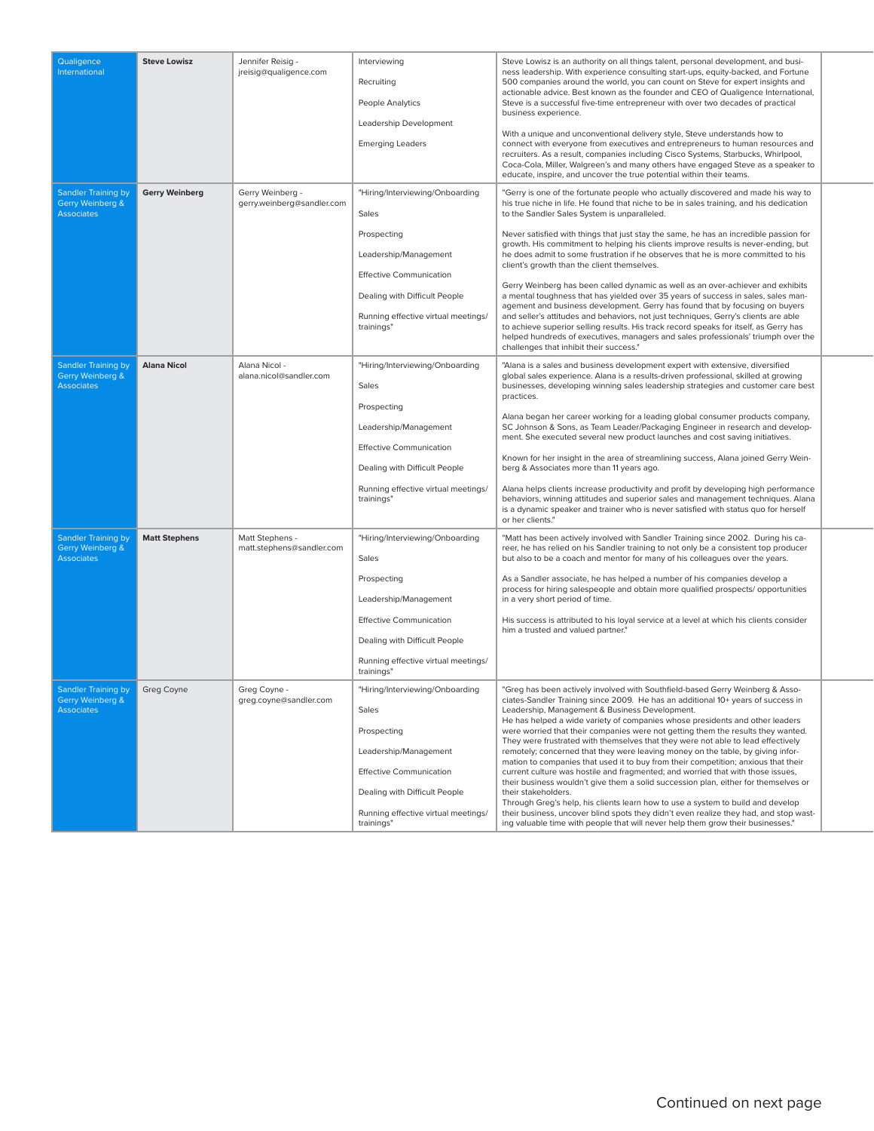| Qualigence<br>International                                         | <b>Steve Lowisz</b>   | Jennifer Reisig -<br>jreisig@qualigence.com    | Interviewing<br>Recruiting<br>People Analytics<br>Leadership Development<br><b>Emerging Leaders</b>                                                                                                      | Steve Lowisz is an authority on all things talent, personal development, and busi-<br>ness leadership. With experience consulting start-ups, equity-backed, and Fortune<br>500 companies around the world, you can count on Steve for expert insights and<br>actionable advice. Best known as the founder and CEO of Qualigence International,<br>Steve is a successful five-time entrepreneur with over two decades of practical<br>business experience.<br>With a unique and unconventional delivery style, Steve understands how to<br>connect with everyone from executives and entrepreneurs to human resources and<br>recruiters. As a result, companies including Cisco Systems, Starbucks, Whirlpool,<br>Coca-Cola, Miller, Walgreen's and many others have engaged Steve as a speaker to<br>educate, inspire, and uncover the true potential within their teams.                                                                                                                                                                                                                                               |  |
|---------------------------------------------------------------------|-----------------------|------------------------------------------------|----------------------------------------------------------------------------------------------------------------------------------------------------------------------------------------------------------|-------------------------------------------------------------------------------------------------------------------------------------------------------------------------------------------------------------------------------------------------------------------------------------------------------------------------------------------------------------------------------------------------------------------------------------------------------------------------------------------------------------------------------------------------------------------------------------------------------------------------------------------------------------------------------------------------------------------------------------------------------------------------------------------------------------------------------------------------------------------------------------------------------------------------------------------------------------------------------------------------------------------------------------------------------------------------------------------------------------------------|--|
| <b>Sandler Training by</b><br>Gerry Weinberg &<br><b>Associates</b> | <b>Gerry Weinberg</b> | Gerry Weinberg -<br>gerry.weinberg@sandler.com | "Hiring/Interviewing/Onboarding<br>Sales<br>Prospecting<br>Leadership/Management<br><b>Effective Communication</b><br>Dealing with Difficult People<br>Running effective virtual meetings/<br>trainings" | "Gerry is one of the fortunate people who actually discovered and made his way to<br>his true niche in life. He found that niche to be in sales training, and his dedication<br>to the Sandler Sales System is unparalleled.<br>Never satisfied with things that just stay the same, he has an incredible passion for<br>growth. His commitment to helping his clients improve results is never-ending, but<br>he does admit to some frustration if he observes that he is more committed to his<br>client's growth than the client themselves.<br>Gerry Weinberg has been called dynamic as well as an over-achiever and exhibits<br>a mental toughness that has yielded over 35 years of success in sales, sales man-<br>agement and business development. Gerry has found that by focusing on buyers<br>and seller's attitudes and behaviors, not just techniques, Gerry's clients are able<br>to achieve superior selling results. His track record speaks for itself, as Gerry has<br>helped hundreds of executives, managers and sales professionals' triumph over the<br>challenges that inhibit their success." |  |
| Sandler Training by<br>Gerry Weinberg &<br><b>Associates</b>        | <b>Alana Nicol</b>    | Alana Nicol -<br>alana.nicol@sandler.com       | "Hiring/Interviewing/Onboarding<br>Sales<br>Prospecting<br>Leadership/Management<br><b>Effective Communication</b><br>Dealing with Difficult People<br>Running effective virtual meetings/<br>trainings" | "Alana is a sales and business development expert with extensive, diversified<br>global sales experience. Alana is a results-driven professional, skilled at growing<br>businesses, developing winning sales leadership strategies and customer care best<br>practices.<br>Alana began her career working for a leading global consumer products company,<br>SC Johnson & Sons, as Team Leader/Packaging Engineer in research and develop-<br>ment. She executed several new product launches and cost saving initiatives.<br>Known for her insight in the area of streamlining success, Alana joined Gerry Wein-<br>berg & Associates more than 11 years ago.<br>Alana helps clients increase productivity and profit by developing high performance<br>behaviors, winning attitudes and superior sales and management techniques. Alana<br>is a dynamic speaker and trainer who is never satisfied with status quo for herself<br>or her clients."                                                                                                                                                                    |  |
| <b>Sandler Training by</b><br>Gerry Weinberg &<br><b>Associates</b> | <b>Matt Stephens</b>  | Matt Stephens -<br>matt.stephens@sandler.com   | "Hiring/Interviewing/Onboarding<br>Sales<br>Prospecting<br>Leadership/Management<br><b>Effective Communication</b><br>Dealing with Difficult People<br>Running effective virtual meetings/<br>trainings" | "Matt has been actively involved with Sandler Training since 2002. During his ca-<br>reer, he has relied on his Sandler training to not only be a consistent top producer<br>but also to be a coach and mentor for many of his colleagues over the years.<br>As a Sandler associate, he has helped a number of his companies develop a<br>process for hiring salespeople and obtain more qualified prospects/ opportunities<br>in a very short period of time.<br>His success is attributed to his loyal service at a level at which his clients consider<br>him a trusted and valued partner."                                                                                                                                                                                                                                                                                                                                                                                                                                                                                                                         |  |
| <b>Sandler Training by</b><br>Gerry Weinberg &<br><b>Associates</b> | Greg Coyne            | Greg Coyne -<br>greg.coyne@sandler.com         | "Hiring/Interviewing/Onboarding<br>Sales<br>Prospecting<br>Leadership/Management<br><b>Effective Communication</b><br>Dealing with Difficult People<br>Running effective virtual meetings/<br>trainings" | "Greg has been actively involved with Southfield-based Gerry Weinberg & Asso-<br>ciates-Sandler Training since 2009. He has an additional 10+ years of success in<br>Leadership, Management & Business Development.<br>He has helped a wide variety of companies whose presidents and other leaders<br>were worried that their companies were not getting them the results they wanted.<br>They were frustrated with themselves that they were not able to lead effectively<br>remotely; concerned that they were leaving money on the table, by giving infor-<br>mation to companies that used it to buy from their competition; anxious that their<br>current culture was hostile and fragmented; and worried that with those issues,<br>their business wouldn't give them a solid succession plan, either for themselves or<br>their stakeholders.<br>Through Greg's help, his clients learn how to use a system to build and develop<br>their business, uncover blind spots they didn't even realize they had, and stop wast-<br>ing valuable time with people that will never help them grow their businesses."    |  |